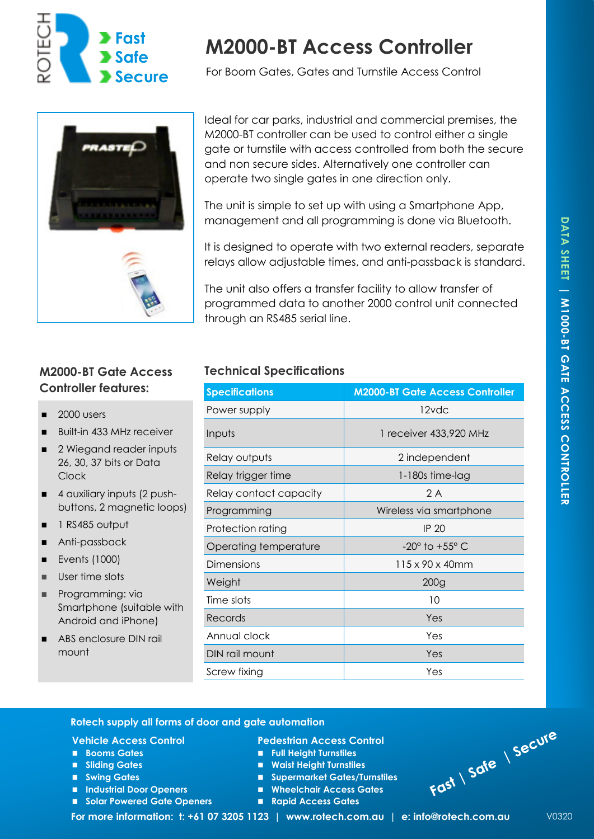

# **M2000-BT Access Controller**

For Boom Gates, Gates and Turnstile Access Control



# **Controller features:**

- 2000 users
- Built-in 433 MHz receiver
- 2 Wiegand reader inputs 26, 30, 37 bits or Data Clock
- 4 auxiliary inputs (2 pushbuttons, 2 magnetic loops)
- 1 RS485 output
- Anti-passback
- Events (1000)
- User time slots
- Programming: via Smartphone (suitable with Android and iPhone)
- ABS enclosure DIN rail mount

## Ideal for car parks, industrial and commercial premises, the M2000-BT controller can be used to control either a single gate or turnstile with access controlled from both the secure and non secure sides. Alternatively one controller can operate two single gates in one direction only.

The unit is simple to set up with using a Smartphone App, management and all programming is done via Bluetooth.

It is designed to operate with two external readers, separate relays allow adjustable times, and anti-passback is standard.

The unit also offers a transfer facility to allow transfer of programmed data to another 2000 control unit connected through an RS485 serial line.

## **M2000-BT Gate Access Technical Specifications**

| <b>Specifications</b>  | <b>M2000-BT Gate Access Controller</b> |  |
|------------------------|----------------------------------------|--|
| Power supply           | 12vdc                                  |  |
| Inputs                 | 1 receiver 433,920 MHz                 |  |
| Relay outputs          | 2 independent                          |  |
| Relay trigger time     | $1-180s$ time-lag                      |  |
| Relay contact capacity | 2 A                                    |  |
| Programming            | Wireless via smartphone                |  |
| Protection rating      | <b>IP 20</b>                           |  |
| Operating temperature  | $-20^\circ$ to $+55^\circ$ C           |  |
| Dimensions             | $115 \times 90 \times 40$ mm           |  |
| Weight                 | 200g                                   |  |
| Time slots             | 10                                     |  |
| Records                | Yes                                    |  |
| Annual clock           | Yes                                    |  |
| DIN rail mount         | Yes                                    |  |
| Screw fixing           | Yes                                    |  |

### **Rotech supply all forms of door and gate automation**

#### **Vehicle Access Control**

- **Booms Gates**
- Sliding Gates
- Swing Gates
- Industrial Door Openers
- ◼ **Solar Powered Gate Openers**

**Pedestrian Access Control** 

- ◼ **Full Height Turnstiles**
- ◼ **Waist Height Turnstiles**
- ◼ **Supermarket Gates/Turnstiles**
- ◼ **Wheelchair Access Gates**
- **Rapid Access Gates**



 **For more information: t: +61 07 3205 1123 | www.rotech.com.au | e: info@rotech.com.au** V0320